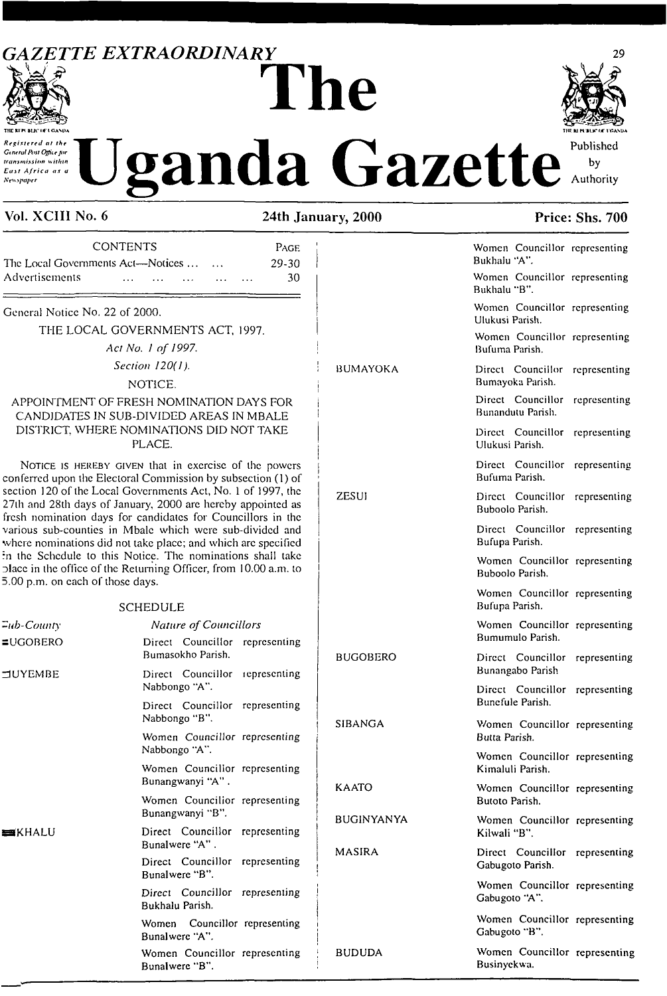# *GAZETTE EXTRAORDINARY*



transmission within East Africa as a **Newspaper** 

# *Registered at the* **Uganda** Gazette Published



# Vol. XCII1 No. 6 24th January, 2000 Price: Shs. 700

zesui

**The**

| <b>CONTENTS</b>                                       |          |          |          |          | <b>PAGE</b> |    |
|-------------------------------------------------------|----------|----------|----------|----------|-------------|----|
| The Local Governments Act—Notices $\dots$<br>$\cdots$ |          |          |          |          | 29-30       |    |
| Advertisements                                        | $\cdots$ | $\cdots$ | $\cdots$ | $\cdots$ | $\cdots$    | 30 |
|                                                       |          |          |          |          |             |    |

General Notice No. 22 of 2000.

THE LOCAL GOVERNMENTS ACT, 1997.

*Act No. / of 1997.*

**Section 120(1).** BUMAY

NOTICE.

## APPOINTMENT OF FRESH NOMINATION DAYS FOR CANDIDATES IN SUB-DIVIDED AREAS IN MBALE DISTRICT, WHERE NOMINATIONS DID NOT TAKE PLACE.

NOTICE IS HEREBY GIVEN that in exercise of the powers conferred upon the Electoral Commission by subsection (1) of section 120 of the Local Governments Act, No. <sup>1</sup> of 1997, the 27lh and 28th days of January, 2000 arc hereby appointed as fresh nomination days for candidates for Councillors in the various sub-counties in Mbalc which were sub-divided and where nominations did not take place; and which arc specified In the Schedule to this Notice. The nominations shall take □lace in the office of the Reluming Officer, from 10.00 a.m. to 5.00 p.m. on each of those days.

# SCHEDULE

| $\Xi$ ub-County | <b>Nature of Councillors</b>                        |                   |
|-----------------|-----------------------------------------------------|-------------------|
| $=UGOBERO$      | Direct Councillor representing<br>Bumasokho Parish. | <b>BUGOBERO</b>   |
| <b>TUYEMBE</b>  | Direct Councillor representing<br>Nabbongo "A".     |                   |
|                 | Direct Councillor representing<br>Nabbongo "B".     | <b>SIBANGA</b>    |
|                 | Women Councillor representing<br>Nabbongo "A".      |                   |
|                 | Women Councilior representing<br>Bunangwanyi "A".   | <b>KAATO</b>      |
|                 | Women Councilior representing<br>Bunangwanyi "B".   | <b>BUGINYANYA</b> |
| <b>EXHALU</b>   | Direct Councillor representing<br>Bunalwere "A".    | <b>MASIRA</b>     |
|                 | Direct Councillor representing<br>Bunalwere "B".    |                   |
|                 | Direct Councillor representing<br>Bukhalu Parish.   |                   |
|                 | Women Councillor representing<br>Bunalwere "A".     |                   |
|                 | Women Councillor representing<br>Bunalwere "B".     | <b>BUDUDA</b>     |

Women Councillor representing

|              | Bukhalu "A".                                       |              |
|--------------|----------------------------------------------------|--------------|
|              | Women Councillor representing<br>Bukhalu "B".      |              |
|              | Women Councillor representing<br>Ulukusi Parish.   |              |
|              | Women Councillor representing<br>Bufuma Parish.    |              |
| YOKA         | Direct Councillor representing<br>Bumayoka Parish. |              |
|              | Direct Councillor<br>Bunandutu Parish.             | representing |
|              | Direct Councillor<br>Ulukusi Parish.               | representing |
|              | Direct Councillor<br>Bufuma Parish.                | representing |
|              | Direct Councillor<br>Buboolo Parish.               | representing |
|              | Direct Councillor<br>Bufupa Parish.                | representing |
|              | Women Councillor representing<br>Buboolo Parish.   |              |
|              | Women Councillor representing<br>Bufupa Parish.    |              |
|              | Women Councillor representing<br>Bumumulo Parish.  |              |
| BERO         | Direct Councillor<br>Bunangabo Parish              | representing |
|              | Direct Councillor representing<br>Bunefule Parish. |              |
| GА           | Women Councillor representing<br>Butta Parish.     |              |
|              | Women Councillor representing<br>Kimaluli Parish.  |              |
| )            | Women Councillor representing<br>Butoto Parish.    |              |
| <b>YANYA</b> | Women Councillor representing<br>Kilwali "B".      |              |
| A.           | Direct Councillor representing<br>Gabugoto Parish. |              |
|              | Women Councillor representing<br>Gabugoto "A".     |              |
|              | Women Councillor representing<br>Gabugoto "B".     |              |
|              |                                                    |              |

Women Councillor representing Businyckwa.